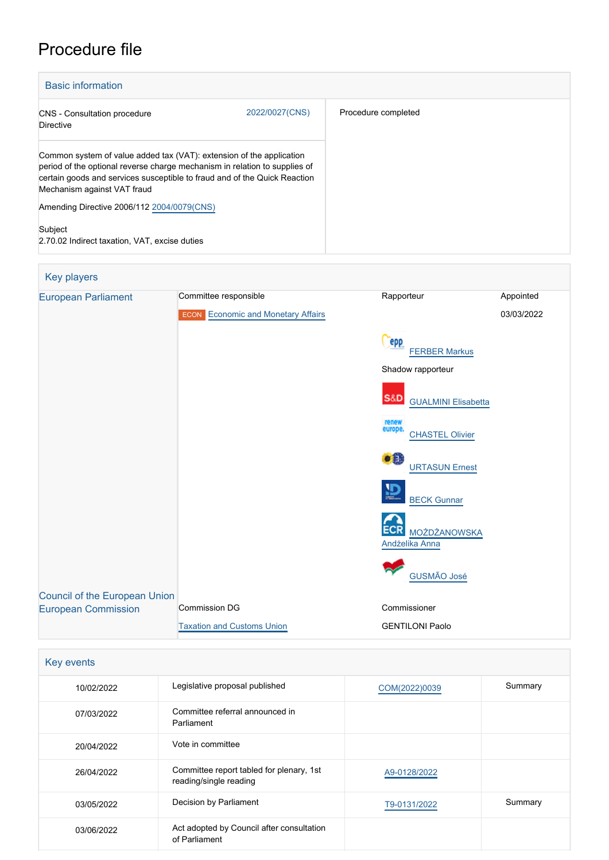# Procedure file

| <b>Basic information</b>                                                                                                                                                                                                                                       |                |                     |  |  |  |
|----------------------------------------------------------------------------------------------------------------------------------------------------------------------------------------------------------------------------------------------------------------|----------------|---------------------|--|--|--|
| <b>CNS</b> - Consultation procedure<br><b>Directive</b>                                                                                                                                                                                                        | 2022/0027(CNS) | Procedure completed |  |  |  |
| Common system of value added tax (VAT): extension of the application<br>period of the optional reverse charge mechanism in relation to supplies of<br>certain goods and services susceptible to fraud and of the Quick Reaction<br>Mechanism against VAT fraud |                |                     |  |  |  |
| Amending Directive 2006/112 2004/0079(CNS)                                                                                                                                                                                                                     |                |                     |  |  |  |
| Subject<br>2.70.02 Indirect taxation, VAT, excise duties                                                                                                                                                                                                       |                |                     |  |  |  |

## Key players [European Parliament](http://www.europarl.europa.eu/) Committee responsible Rapporteur Rapporteur Appointed **ECON** [Economic and Monetary Affairs](http://www.europarl.europa.eu/committees/en/econ/home.html) 03/03/2022 Cepp [FERBER Markus](http://www.europarl.europa.eu/meps/en/1917) Shadow rapporteur **S&D**  [GUALMINI Elisabetta](http://www.europarl.europa.eu/meps/en/197618) [CHASTEL Olivier](http://www.europarl.europa.eu/meps/en/197463)  $\bullet$  in [URTASUN Ernest](http://www.europarl.europa.eu/meps/en/124972) [BECK Gunnar](http://www.europarl.europa.eu/meps/en/132191) ECR [MOŻDŻANOWSKA](http://www.europarl.europa.eu/meps/en/197541) [Andżelika Anna](http://www.europarl.europa.eu/meps/en/197541) [GUSMÃO José](http://www.europarl.europa.eu/meps/en/88715) [Council of the European Union](http://www.consilium.europa.eu) [European Commission](http://ec.europa.eu/) Commission DG Commissioner [Taxation and Customs Union](http://ec.europa.eu/info/departments/taxation-and-customs-union_en) GENTILONI Paolo

| Key events |                                                                    |               |         |
|------------|--------------------------------------------------------------------|---------------|---------|
| 10/02/2022 | Legislative proposal published                                     | COM(2022)0039 | Summary |
| 07/03/2022 | Committee referral announced in<br>Parliament                      |               |         |
| 20/04/2022 | Vote in committee                                                  |               |         |
| 26/04/2022 | Committee report tabled for plenary, 1st<br>reading/single reading | A9-0128/2022  |         |
| 03/05/2022 | Decision by Parliament                                             | T9-0131/2022  | Summary |
| 03/06/2022 | Act adopted by Council after consultation<br>of Parliament         |               |         |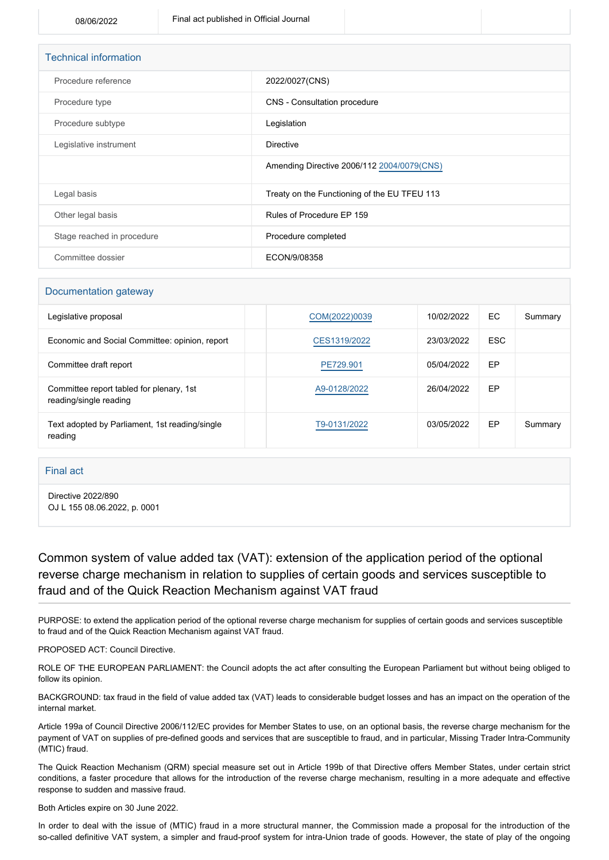| <b>Technical information</b> |                                              |  |  |  |
|------------------------------|----------------------------------------------|--|--|--|
| Procedure reference          | 2022/0027(CNS)                               |  |  |  |
| Procedure type               | CNS - Consultation procedure                 |  |  |  |
| Procedure subtype            | Legislation                                  |  |  |  |
| Legislative instrument       | <b>Directive</b>                             |  |  |  |
|                              | Amending Directive 2006/112 2004/0079(CNS)   |  |  |  |
| Legal basis                  | Treaty on the Functioning of the EU TFEU 113 |  |  |  |
| Other legal basis            | Rules of Procedure EP 159                    |  |  |  |
| Stage reached in procedure   | Procedure completed                          |  |  |  |
| Committee dossier            | ECON/9/08358                                 |  |  |  |

#### Documentation gateway

| Legislative proposal                                               | COM(2022)0039 | 10/02/2022 | EC.        | Summary |
|--------------------------------------------------------------------|---------------|------------|------------|---------|
| Economic and Social Committee: opinion, report                     | CES1319/2022  | 23/03/2022 | <b>ESC</b> |         |
| Committee draft report                                             | PF729 901     | 05/04/2022 | EP         |         |
| Committee report tabled for plenary, 1st<br>reading/single reading | A9-0128/2022  | 26/04/2022 | EP         |         |
| Text adopted by Parliament, 1st reading/single<br>reading          | T9-0131/2022  | 03/05/2022 | EP         | Summary |

#### Final act

Directive 2022/890 OJ L 155 08.06.2022, p. 0001

Common system of value added tax (VAT): extension of the application period of the optional reverse charge mechanism in relation to supplies of certain goods and services susceptible to fraud and of the Quick Reaction Mechanism against VAT fraud

PURPOSE: to extend the application period of the optional reverse charge mechanism for supplies of certain goods and services susceptible to fraud and of the Quick Reaction Mechanism against VAT fraud.

PROPOSED ACT: Council Directive.

ROLE OF THE EUROPEAN PARLIAMENT: the Council adopts the act after consulting the European Parliament but without being obliged to follow its opinion.

BACKGROUND: tax fraud in the field of value added tax (VAT) leads to considerable budget losses and has an impact on the operation of the internal market.

Article 199a of Council Directive 2006/112/EC provides for Member States to use, on an optional basis, the reverse charge mechanism for the payment of VAT on supplies of pre-defined goods and services that are susceptible to fraud, and in particular, Missing Trader Intra-Community (MTIC) fraud.

The Quick Reaction Mechanism (QRM) special measure set out in Article 199b of that Directive offers Member States, under certain strict conditions, a faster procedure that allows for the introduction of the reverse charge mechanism, resulting in a more adequate and effective response to sudden and massive fraud.

Both Articles expire on 30 June 2022.

In order to deal with the issue of (MTIC) fraud in a more structural manner, the Commission made a proposal for the introduction of the so-called definitive VAT system, a simpler and fraud-proof system for intra-Union trade of goods. However, the state of play of the ongoing